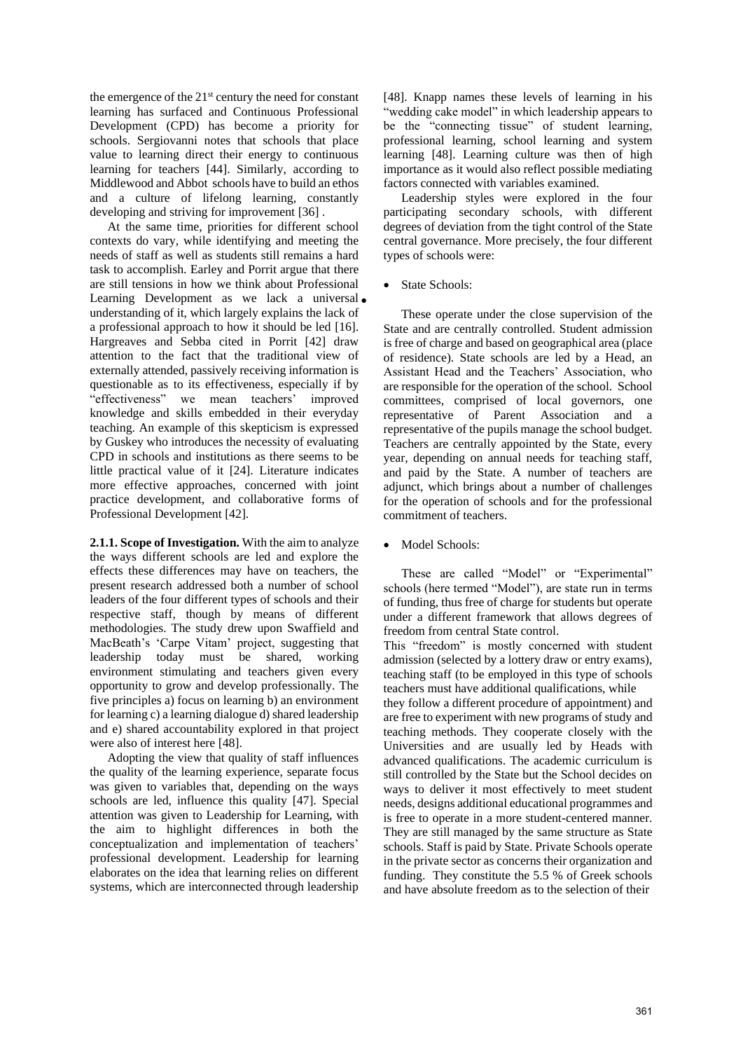the emergence of the  $21<sup>st</sup>$  century the need for constant learning has surfaced and Continuous Professional Development (CPD) has become a priority for schools. Sergiovanni notes that schools that place value to learning direct their energy to continuous learning for teachers [44]. Similarly, according to Middlewood and Abbot schools have to build an ethos and a culture of lifelong learning, constantly developing and striving for improvement [36] .

At the same time, priorities for different school contexts do vary, while identifying and meeting the needs of staff as well as students still remains a hard task to accomplish. Earley and Porrit argue that there are still tensions in how we think about Professional Learning Development as we lack a universal. understanding of it, which largely explains the lack of a professional approach to how it should be led [16]. Hargreaves and Sebba cited in Porrit [42] draw attention to the fact that the traditional view of externally attended, passively receiving information is questionable as to its effectiveness, especially if by "effectiveness" we mean teachers' improved knowledge and skills embedded in their everyday teaching. An example of this skepticism is expressed by Guskey who introduces the necessity of evaluating CPD in schools and institutions as there seems to be little practical value of it [24]. Literature indicates more effective approaches, concerned with joint practice development, and collaborative forms of Professional Development [42].

**2.1.1. Scope of Investigation.** With the aim to analyze the ways different schools are led and explore the effects these differences may have on teachers, the present research addressed both a number of school leaders of the four different types of schools and their respective staff, though by means of different methodologies. The study drew upon Swaffield and MacBeath's 'Carpe Vitam' project, suggesting that leadership today must be shared, working environment stimulating and teachers given every opportunity to grow and develop professionally. The five principles a) focus on learning b) an environment for learning c) a learning dialogue d) shared leadership and e) shared accountability explored in that project were also of interest here [48].

Adopting the view that quality of staff influences the quality of the learning experience, separate focus was given to variables that, depending on the ways schools are led, influence this quality [47]. Special attention was given to Leadership for Learning, with the aim to highlight differences in both the conceptualization and implementation of teachers' professional development. Leadership for learning elaborates on the idea that learning relies on different systems, which are interconnected through leadership

[48]. Knapp names these levels of learning in his "wedding cake model" in which leadership appears to be the "connecting tissue" of student learning, professional learning, school learning and system learning [48]. Learning culture was then of high importance as it would also reflect possible mediating factors connected with variables examined.

Leadership styles were explored in the four participating secondary schools, with different degrees of deviation from the tight control of the State central governance. More precisely, the four different types of schools were:

• State Schools:

These operate under the close supervision of the State and are centrally controlled. Student admission is free of charge and based on geographical area (place of residence). State schools are led by a Head, an Assistant Head and the Teachers' Association, who are responsible for the operation of the school. School committees, comprised of local governors, one representative of Parent Association and a representative of the pupils manage the school budget. Teachers are centrally appointed by the State, every year, depending on annual needs for teaching staff, and paid by the State. A number of teachers are adjunct, which brings about a number of challenges for the operation of schools and for the professional commitment of teachers.

Model Schools:

These are called "Model" or "Experimental" schools (here termed "Model"), are state run in terms of funding, thus free of charge for students but operate under a different framework that allows degrees of freedom from central State control.

This "freedom" is mostly concerned with student admission (selected by a lottery draw or entry exams), teaching staff (to be employed in this type of schools teachers must have additional qualifications, while they follow a different procedure of appointment) and are free to experiment with new programs of study and teaching methods. They cooperate closely with the Universities and are usually led by Heads with advanced qualifications. The academic curriculum is still controlled by the State but the School decides on ways to deliver it most effectively to meet student needs, designs additional educational programmes and is free to operate in a more student-centered manner. They are still managed by the same structure as State schools. Staff is paid by State. Private Schools operate in the private sector as concerns their organization and funding. They constitute the 5.5 % of Greek schools and have absolute freedom as to the selection of their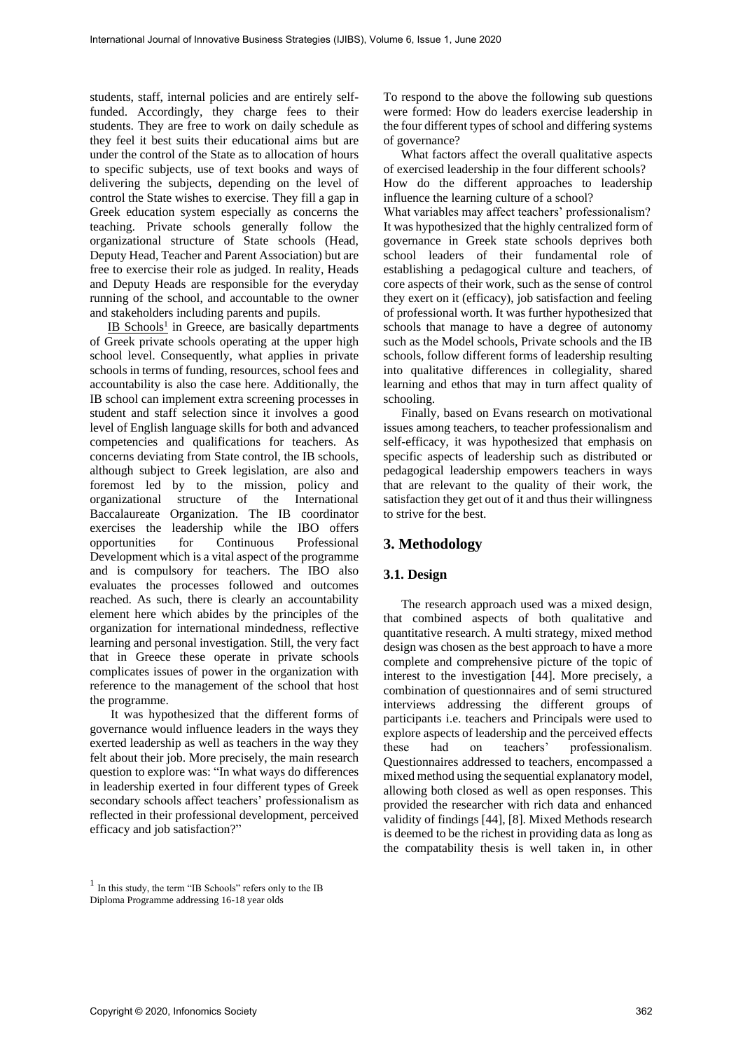students, staff, internal policies and are entirely selffunded. Accordingly, they charge fees to their students. They are free to work on daily schedule as they feel it best suits their educational aims but are under the control of the State as to allocation of hours to specific subjects, use of text books and ways of delivering the subjects, depending on the level of control the State wishes to exercise. They fill a gap in Greek education system especially as concerns the teaching. Private schools generally follow the organizational structure of State schools (Head, Deputy Head, Teacher and Parent Association) but are free to exercise their role as judged. In reality, Heads and Deputy Heads are responsible for the everyday running of the school, and accountable to the owner and stakeholders including parents and pupils.

IB Schools<sup>1</sup> in Greece, are basically departments of Greek private schools operating at the upper high school level. Consequently, what applies in private schools in terms of funding, resources, school fees and accountability is also the case here. Additionally, the IB school can implement extra screening processes in student and staff selection since it involves a good level of English language skills for both and advanced competencies and qualifications for teachers. As concerns deviating from State control, the IB schools, although subject to Greek legislation, are also and foremost led by to the mission, policy and organizational structure of the International Baccalaureate Organization. The IB coordinator exercises the leadership while the IBO offers opportunities for Continuous Professional Development which is a vital aspect of the programme and is compulsory for teachers. The IBO also evaluates the processes followed and outcomes reached. As such, there is clearly an accountability element here which abides by the principles of the organization for international mindedness, reflective learning and personal investigation. Still, the very fact that in Greece these operate in private schools complicates issues of power in the organization with reference to the management of the school that host the programme.

It was hypothesized that the different forms of governance would influence leaders in the ways they exerted leadership as well as teachers in the way they felt about their job. More precisely, the main research question to explore was: "In what ways do differences in leadership exerted in four different types of Greek secondary schools affect teachers' professionalism as reflected in their professional development, perceived efficacy and job satisfaction?"

To respond to the above the following sub questions were formed: How do leaders exercise leadership in the four different types of school and differing systems of governance?

What factors affect the overall qualitative aspects of exercised leadership in the four different schools? How do the different approaches to leadership influence the learning culture of a school?

What variables may affect teachers' professionalism? It was hypothesized that the highly centralized form of governance in Greek state schools deprives both school leaders of their fundamental role of establishing a pedagogical culture and teachers, of core aspects of their work, such as the sense of control they exert on it (efficacy), job satisfaction and feeling of professional worth. It was further hypothesized that schools that manage to have a degree of autonomy such as the Model schools, Private schools and the IB schools, follow different forms of leadership resulting into qualitative differences in collegiality, shared learning and ethos that may in turn affect quality of schooling.

Finally, based on Evans research on motivational issues among teachers, to teacher professionalism and self-efficacy, it was hypothesized that emphasis on specific aspects of leadership such as distributed or pedagogical leadership empowers teachers in ways that are relevant to the quality of their work, the satisfaction they get out of it and thus their willingness to strive for the best.

# **3. Methodology**

## **3.1. Design**

The research approach used was a mixed design, that combined aspects of both qualitative and quantitative research. A multi strategy, mixed method design was chosen as the best approach to have a more complete and comprehensive picture of the topic of interest to the investigation [44]. More precisely, a combination of questionnaires and of semi structured interviews addressing the different groups of participants i.e. teachers and Principals were used to explore aspects of leadership and the perceived effects these had on teachers' professionalism. Questionnaires addressed to teachers, encompassed a mixed method using the sequential explanatory model, allowing both closed as well as open responses. This provided the researcher with rich data and enhanced validity of findings [44], [8]. Mixed Methods research is deemed to be the richest in providing data as long as the compatability thesis is well taken in, in other

<sup>1</sup> In this study, the term "IB Schools" refers only to the IB Diploma Programme addressing 16-18 year olds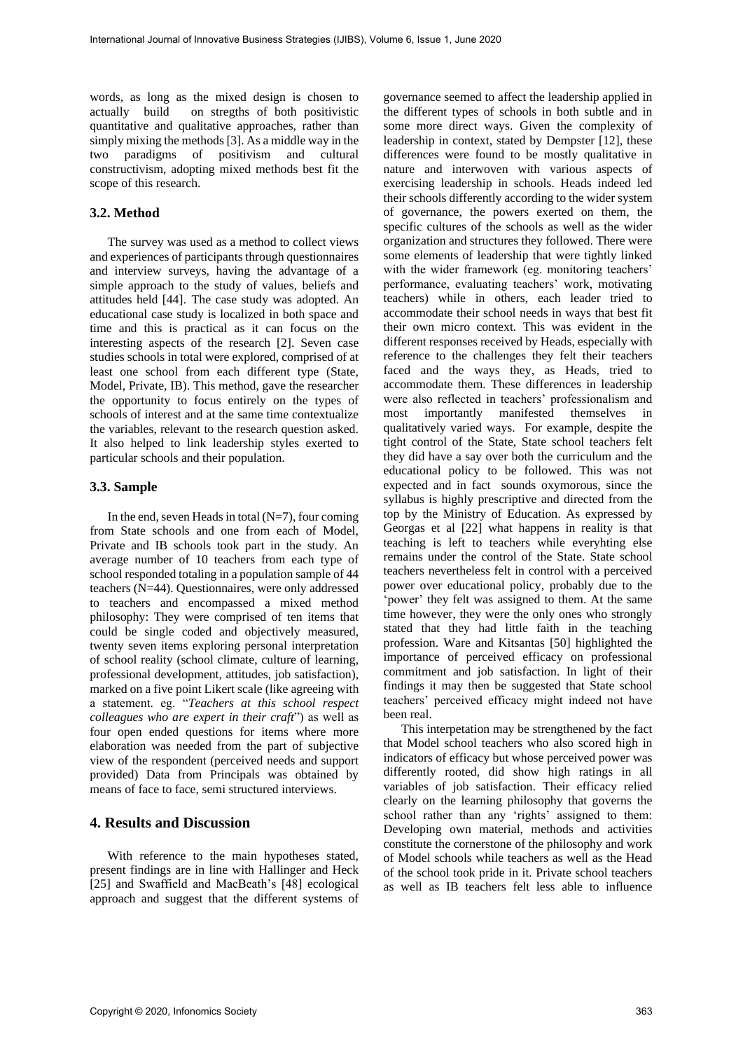words, as long as the mixed design is chosen to actually build on stregths of both positivistic quantitative and qualitative approaches, rather than simply mixing the methods [3]. As a middle way in the two paradigms of positivism and cultural constructivism, adopting mixed methods best fit the scope of this research.

#### **3.2. Method**

The survey was used as a method to collect views and experiences of participants through questionnaires and interview surveys, having the advantage of a simple approach to the study of values, beliefs and attitudes held [44]. The case study was adopted. An educational case study is localized in both space and time and this is practical as it can focus on the interesting aspects of the research [2]. Seven case studies schools in total were explored, comprised of at least one school from each different type (State, Model, Private, IB). This method, gave the researcher the opportunity to focus entirely on the types of schools of interest and at the same time contextualize the variables, relevant to the research question asked. It also helped to link leadership styles exerted to particular schools and their population.

### **3.3. Sample**

In the end, seven Heads in total  $(N=7)$ , four coming from State schools and one from each of Model, Private and IB schools took part in the study. An average number of 10 teachers from each type of school responded totaling in a population sample of 44 teachers (N=44). Questionnaires, were only addressed to teachers and encompassed a mixed method philosophy: They were comprised of ten items that could be single coded and objectively measured, twenty seven items exploring personal interpretation of school reality (school climate, culture of learning, professional development, attitudes, job satisfaction), marked on a five point Likert scale (like agreeing with a statement. eg. "*Teachers at this school respect colleagues who are expert in their craft*") as well as four open ended questions for items where more elaboration was needed from the part of subjective view of the respondent (perceived needs and support provided) Data from Principals was obtained by means of face to face, semi structured interviews.

## **4. Results and Discussion**

With reference to the main hypotheses stated, present findings are in line with Hallinger and Heck [25] and Swaffield and MacBeath's [48] ecological approach and suggest that the different systems of governance seemed to affect the leadership applied in the different types of schools in both subtle and in some more direct ways. Given the complexity of leadership in context, stated by Dempster [12], these differences were found to be mostly qualitative in nature and interwoven with various aspects of exercising leadership in schools. Heads indeed led their schools differently according to the wider system of governance, the powers exerted on them, the specific cultures of the schools as well as the wider organization and structures they followed. There were some elements of leadership that were tightly linked with the wider framework (eg. monitoring teachers' performance, evaluating teachers' work, motivating teachers) while in others, each leader tried to accommodate their school needs in ways that best fit their own micro context. This was evident in the different responses received by Heads, especially with reference to the challenges they felt their teachers faced and the ways they, as Heads, tried to accommodate them. These differences in leadership were also reflected in teachers' professionalism and most importantly manifested themselves in qualitatively varied ways. For example, despite the tight control of the State, State school teachers felt they did have a say over both the curriculum and the educational policy to be followed. This was not expected and in fact sounds oxymorous, since the syllabus is highly prescriptive and directed from the top by the Ministry of Education. As expressed by Georgas et al [22] what happens in reality is that teaching is left to teachers while everyhting else remains under the control of the State. State school teachers nevertheless felt in control with a perceived power over educational policy, probably due to the 'power' they felt was assigned to them. At the same time however, they were the only ones who strongly stated that they had little faith in the teaching profession. Ware and Kitsantas [50] highlighted the importance of perceived efficacy on professional commitment and job satisfaction. In light of their findings it may then be suggested that State school teachers' perceived efficacy might indeed not have been real.

This interpetation may be strengthened by the fact that Model school teachers who also scored high in indicators of efficacy but whose perceived power was differently rooted, did show high ratings in all variables of job satisfaction. Their efficacy relied clearly on the learning philosophy that governs the school rather than any 'rights' assigned to them: Developing own material, methods and activities constitute the cornerstone of the philosophy and work of Model schools while teachers as well as the Head of the school took pride in it. Private school teachers as well as IB teachers felt less able to influence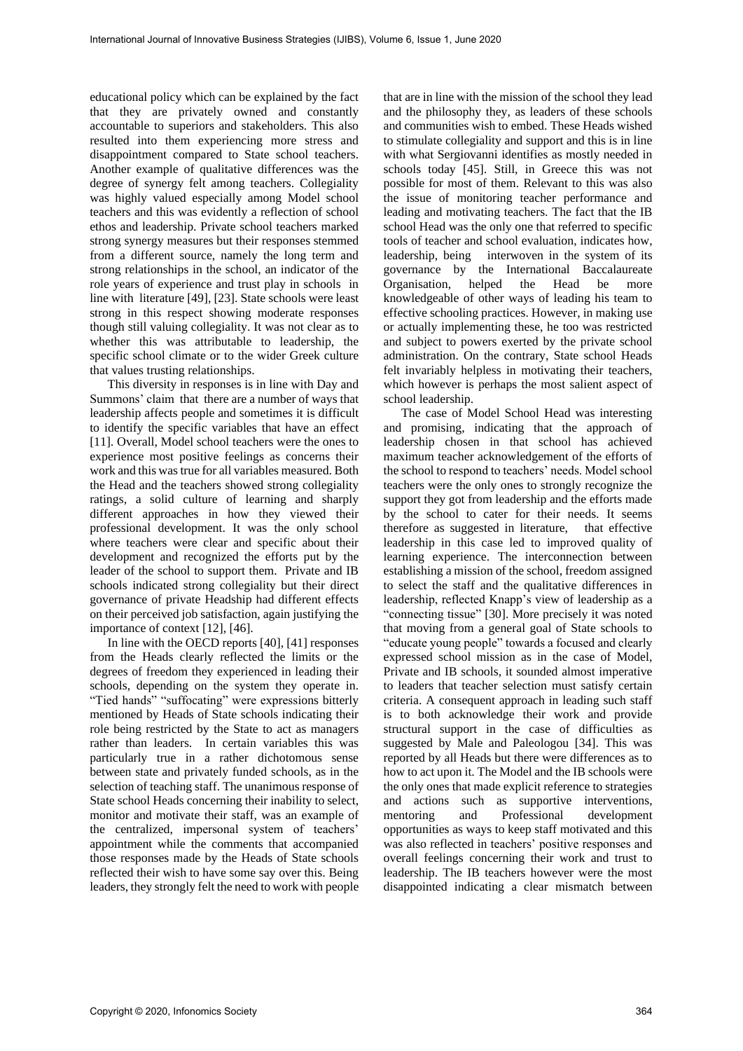educational policy which can be explained by the fact that they are privately owned and constantly accountable to superiors and stakeholders. This also resulted into them experiencing more stress and disappointment compared to State school teachers. Another example of qualitative differences was the degree of synergy felt among teachers. Collegiality was highly valued especially among Model school teachers and this was evidently a reflection of school ethos and leadership. Private school teachers marked strong synergy measures but their responses stemmed from a different source, namely the long term and strong relationships in the school, an indicator of the role years of experience and trust play in schools in line with literature [49], [23]. State schools were least strong in this respect showing moderate responses though still valuing collegiality. It was not clear as to whether this was attributable to leadership, the specific school climate or to the wider Greek culture that values trusting relationships.

This diversity in responses is in line with Day and Summons' claim that there are a number of ways that leadership affects people and sometimes it is difficult to identify the specific variables that have an effect [11]. Overall, Model school teachers were the ones to experience most positive feelings as concerns their work and this was true for all variables measured. Both the Head and the teachers showed strong collegiality ratings, a solid culture of learning and sharply different approaches in how they viewed their professional development. It was the only school where teachers were clear and specific about their development and recognized the efforts put by the leader of the school to support them. Private and IB schools indicated strong collegiality but their direct governance of private Headship had different effects on their perceived job satisfaction, again justifying the importance of context [12], [46].

In line with the OECD reports [40], [41] responses from the Heads clearly reflected the limits or the degrees of freedom they experienced in leading their schools, depending on the system they operate in. "Tied hands" "suffocating" were expressions bitterly mentioned by Heads of State schools indicating their role being restricted by the State to act as managers rather than leaders. In certain variables this was particularly true in a rather dichotomous sense between state and privately funded schools, as in the selection of teaching staff. The unanimous response of State school Heads concerning their inability to select, monitor and motivate their staff, was an example of the centralized, impersonal system of teachers' appointment while the comments that accompanied those responses made by the Heads of State schools reflected their wish to have some say over this. Being leaders, they strongly felt the need to work with people

that are in line with the mission of the school they lead and the philosophy they, as leaders of these schools and communities wish to embed. These Heads wished to stimulate collegiality and support and this is in line with what Sergiovanni identifies as mostly needed in schools today [45]. Still, in Greece this was not possible for most of them. Relevant to this was also the issue of monitoring teacher performance and leading and motivating teachers. The fact that the IB school Head was the only one that referred to specific tools of teacher and school evaluation, indicates how, leadership, being interwoven in the system of its governance by the International Baccalaureate Organisation, helped the Head be more knowledgeable of other ways of leading his team to effective schooling practices. However, in making use or actually implementing these, he too was restricted and subject to powers exerted by the private school administration. On the contrary, State school Heads felt invariably helpless in motivating their teachers, which however is perhaps the most salient aspect of school leadership.

The case of Model School Head was interesting and promising, indicating that the approach of leadership chosen in that school has achieved maximum teacher acknowledgement of the efforts of the school to respond to teachers' needs. Model school teachers were the only ones to strongly recognize the support they got from leadership and the efforts made by the school to cater for their needs. It seems therefore as suggested in literature, that effective leadership in this case led to improved quality of learning experience. The interconnection between establishing a mission of the school, freedom assigned to select the staff and the qualitative differences in leadership, reflected Knapp's view of leadership as a "connecting tissue" [30]. More precisely it was noted that moving from a general goal of State schools to "educate young people" towards a focused and clearly expressed school mission as in the case of Model, Private and IB schools, it sounded almost imperative to leaders that teacher selection must satisfy certain criteria. A consequent approach in leading such staff is to both acknowledge their work and provide structural support in the case of difficulties as suggested by Male and Paleologou [34]. This was reported by all Heads but there were differences as to how to act upon it. The Model and the IB schools were the only ones that made explicit reference to strategies and actions such as supportive interventions, mentoring and Professional development opportunities as ways to keep staff motivated and this was also reflected in teachers' positive responses and overall feelings concerning their work and trust to leadership. The IB teachers however were the most disappointed indicating a clear mismatch between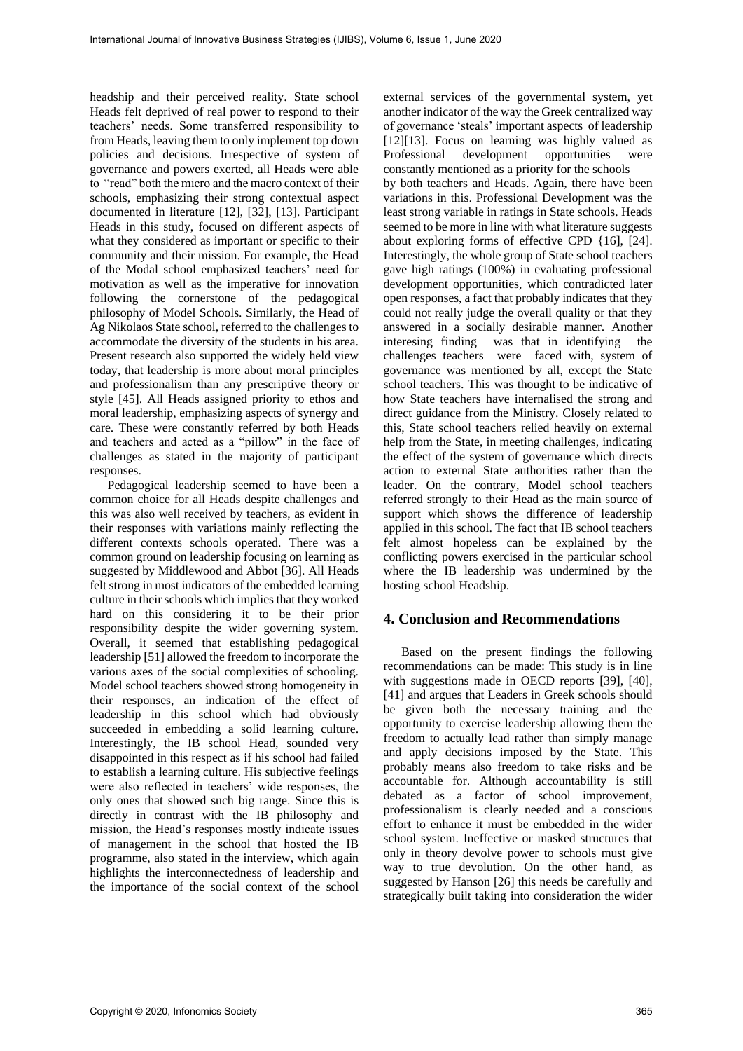headship and their perceived reality. State school Heads felt deprived of real power to respond to their teachers' needs. Some transferred responsibility to from Heads, leaving them to only implement top down policies and decisions. Irrespective of system of governance and powers exerted, all Heads were able to "read" both the micro and the macro context of their schools, emphasizing their strong contextual aspect documented in literature [12], [32], [13]. Participant Heads in this study, focused on different aspects of what they considered as important or specific to their community and their mission. For example, the Head of the Modal school emphasized teachers' need for motivation as well as the imperative for innovation following the cornerstone of the pedagogical philosophy of Model Schools. Similarly, the Head of Ag Nikolaos State school, referred to the challenges to accommodate the diversity of the students in his area. Present research also supported the widely held view today, that leadership is more about moral principles and professionalism than any prescriptive theory or style [45]. All Heads assigned priority to ethos and moral leadership, emphasizing aspects of synergy and care. These were constantly referred by both Heads and teachers and acted as a "pillow" in the face of challenges as stated in the majority of participant responses.

Pedagogical leadership seemed to have been a common choice for all Heads despite challenges and this was also well received by teachers, as evident in their responses with variations mainly reflecting the different contexts schools operated. There was a common ground on leadership focusing on learning as suggested by Middlewood and Abbot [36]. All Heads felt strong in most indicators of the embedded learning culture in their schools which implies that they worked hard on this considering it to be their prior responsibility despite the wider governing system. Overall, it seemed that establishing pedagogical leadership [51] allowed the freedom to incorporate the various axes of the social complexities of schooling. Model school teachers showed strong homogeneity in their responses, an indication of the effect of leadership in this school which had obviously succeeded in embedding a solid learning culture. Interestingly, the IB school Head, sounded very disappointed in this respect as if his school had failed to establish a learning culture. His subjective feelings were also reflected in teachers' wide responses, the only ones that showed such big range. Since this is directly in contrast with the IB philosophy and mission, the Head's responses mostly indicate issues of management in the school that hosted the IB programme, also stated in the interview, which again highlights the interconnectedness of leadership and the importance of the social context of the school

external services of the governmental system, yet another indicator of the way the Greek centralized way of governance 'steals' important aspects of leadership [12][13]. Focus on learning was highly valued as Professional development opportunities were constantly mentioned as a priority for the schools by both teachers and Heads. Again, there have been variations in this. Professional Development was the least strong variable in ratings in State schools. Heads seemed to be more in line with what literature suggests about exploring forms of effective CPD {16], [24]. Interestingly, the whole group of State school teachers gave high ratings (100%) in evaluating professional development opportunities, which contradicted later open responses, a fact that probably indicates that they could not really judge the overall quality or that they answered in a socially desirable manner. Another interesing finding was that in identifying the challenges teachers were faced with, system of governance was mentioned by all, except the State school teachers. This was thought to be indicative of how State teachers have internalised the strong and direct guidance from the Ministry. Closely related to this, State school teachers relied heavily on external help from the State, in meeting challenges, indicating the effect of the system of governance which directs action to external State authorities rather than the leader. On the contrary, Model school teachers referred strongly to their Head as the main source of support which shows the difference of leadership applied in this school. The fact that IB school teachers felt almost hopeless can be explained by the conflicting powers exercised in the particular school where the IB leadership was undermined by the hosting school Headship.

## **4. Conclusion and Recommendations**

Based on the present findings the following recommendations can be made: This study is in line with suggestions made in OECD reports [39], [40], [41] and argues that Leaders in Greek schools should be given both the necessary training and the opportunity to exercise leadership allowing them the freedom to actually lead rather than simply manage and apply decisions imposed by the State. This probably means also freedom to take risks and be accountable for. Although accountability is still debated as a factor of school improvement, professionalism is clearly needed and a conscious effort to enhance it must be embedded in the wider school system. Ineffective or masked structures that only in theory devolve power to schools must give way to true devolution. On the other hand, as suggested by Hanson [26] this needs be carefully and strategically built taking into consideration the wider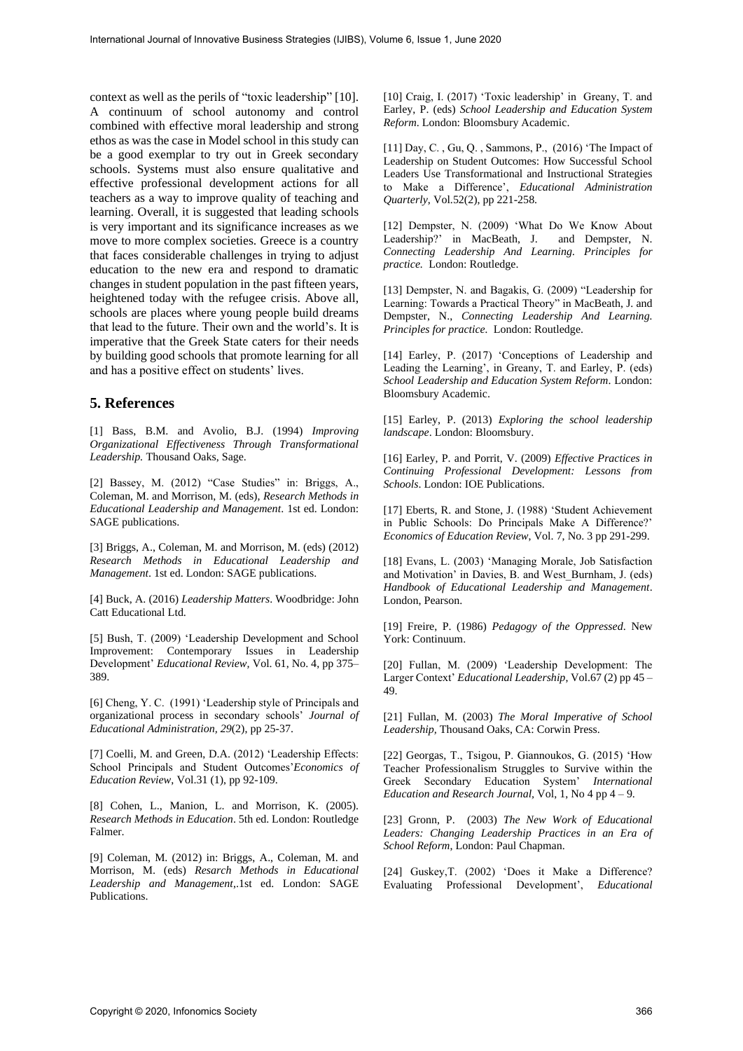context as well as the perils of "toxic leadership" [10]. A continuum of school autonomy and control combined with effective moral leadership and strong ethos as was the case in Model school in this study can be a good exemplar to try out in Greek secondary schools. Systems must also ensure qualitative and effective professional development actions for all teachers as a way to improve quality of teaching and learning. Overall, it is suggested that leading schools is very important and its significance increases as we move to more complex societies. Greece is a country that faces considerable challenges in trying to adjust education to the new era and respond to dramatic changes in student population in the past fifteen years, heightened today with the refugee crisis. Above all, schools are places where young people build dreams that lead to the future. Their own and the world's. It is imperative that the Greek State caters for their needs by building good schools that promote learning for all and has a positive effect on students' lives.

## **5. References**

[1] Bass, B.M. and Avolio, B.J. (1994) *Improving Organizational Effectiveness Through Transformational Leadership.* Thousand Oaks, Sage.

[2] Bassey, M. (2012) "Case Studies" in: Briggs, A., Coleman, M. and Morrison, M. (eds), *Research Methods in Educational Leadership and Management*. 1st ed. London: SAGE publications.

[3] Briggs, A., Coleman, M. and Morrison, M. (eds) (2012) *Research Methods in Educational Leadership and Management*. 1st ed. London: SAGE publications.

[4] Buck, A. (2016) *Leadership Matters*. Woodbridge: John Catt Educational Ltd.

[5] Bush, T. (2009) 'Leadership Development and School Improvement: Contemporary Issues in Leadership Development' *Educational Review,* Vol. 61, No. 4, pp 375– 389.

[6] Cheng, Y. C. (1991) 'Leadership style of Principals and organizational process in secondary schools' *Journal of Educational Administration, 29*(2), pp 25-37.

[7] Coelli, M. and Green, D.A. (2012) 'Leadership Effects: School Principals and Student Outcomes'*Economics of Education Review*, Vol.31 (1), pp 92-109.

[8] Cohen, L., Manion, L. and Morrison, K. (2005). *Research Methods in Education*. 5th ed. London: Routledge Falmer.

[9] Coleman, M. (2012) in: Briggs, A., Coleman, M. and Morrison, M. (eds) *Resarch Methods in Educational Leadership and Management*,.1st ed. London: SAGE Publications.

[10] Craig, I. (2017) 'Toxic leadership' in Greany, T. and Earley, P. (eds) *School Leadership and Education System Reform*. London: Bloomsbury Academic.

[11] Day, C. , Gu, Q. , Sammons, P., (2016) 'The Impact of Leadership on Student Outcomes: How Successful School Leaders Use Transformational and Instructional Strategies to Make a Difference', *Educational Administration Quarterly*, Vol.52(2), pp 221-258.

[12] Dempster, N. (2009) 'What Do We Know About Leadership?' in MacBeath, J. and Dempster, N. *Connecting Leadership And Learning. Principles for practice.* London: Routledge.

[13] Dempster, N. and Bagakis, G. (2009) "Leadership for Learning: Towards a Practical Theory" in MacBeath, J. and Dempster, N., *Connecting Leadership And Learning. Principles for practice.* London: Routledge.

[14] Earley, P. (2017) 'Conceptions of Leadership and Leading the Learning', in Greany, T. and Earley, P. (eds) *School Leadership and Education System Reform*. London: Bloomsbury Academic.

[15] Earley, P. (2013) *Exploring the school leadership landscape*. London: Bloomsbury.

[16] Earley, P. and Porrit, V. (2009) *Effective Practices in Continuing Professional Development: Lessons from Schools*. London: IOE Publications.

[17] Eberts, R. and Stone, J. (1988) 'Student Achievement in Public Schools: Do Principals Make A Difference?' *Economics of Education Review*, Vol. 7, No. 3 pp 291-299.

[18] Evans, L. (2003) 'Managing Morale, Job Satisfaction and Motivation' in Davies, B. and West\_Burnham, J. (eds) *Handbook of Educational Leadership and Management*. London, Pearson.

[19] Freire, P. (1986) *Pedagogy of the Oppressed*. New York: Continuum.

[20] Fullan, M. (2009) 'Leadership Development: The Larger Context' *Educational Leadership*, Vol.67 (2) pp 45 – 49.

[21] Fullan, M. (2003) *The Moral Imperative of School Leadership,* Thousand Oaks, CA: Corwin Press.

[22] Georgas, T., Tsigou, P. Giannoukos, G. (2015) 'How Teacher Professionalism Struggles to Survive within the Greek Secondary Education System' *International Education and Research Journal,* Vol, 1, No 4 pp 4 – 9.

[23] Gronn, P. (2003) *The New Work of Educational Leaders: Changing Leadership Practices in an Era of School Reform*, London: Paul Chapman.

[24] Guskey,T. (2002) 'Does it Make a Difference? Evaluating Professional Development', *Educational*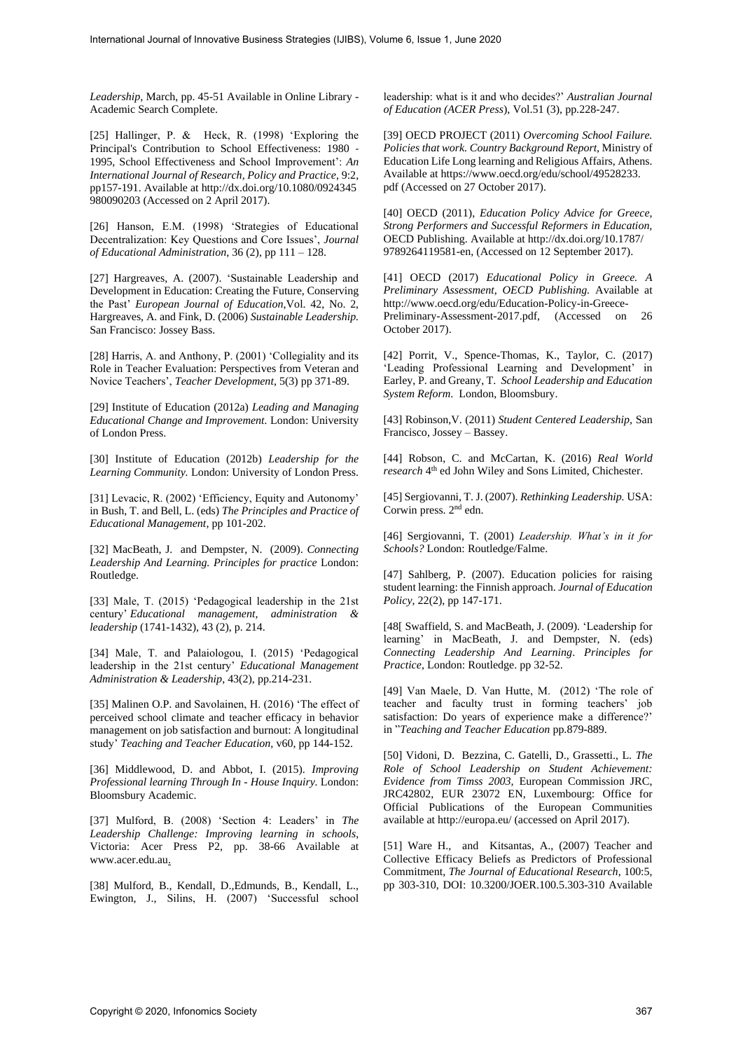*Leadership*, March, pp. 45-51 Available in Online Library - Academic Search Complete.

[25] Hallinger, P. & Heck, R. (1998) 'Exploring the Principal's Contribution to School Effectiveness: 1980 ‐ 1995, School Effectiveness and School Improvement': *An International Journal of Research, Policy and Practice*, 9:2, pp157-191. Available at http://dx.doi.org/10.1080/0924345 980090203 (Accessed on 2 April 2017).

[26] Hanson, E.M. (1998) 'Strategies of Educational Decentralization: Key Questions and Core Issues', *Journal of Educational Administration*, 36 (2), pp 111 – 128.

[27] Hargreaves, A. (2007). 'Sustainable Leadership and Development in Education: Creating the Future, Conserving the Past' *European Journal of Education*,Vol. 42, No. 2, Hargreaves, A. and Fink, D. (2006) *Sustainable Leadership.*  San Francisco: Jossey Bass.

[28] Harris, A. and Anthony, P. (2001) 'Collegiality and its Role in Teacher Evaluation: Perspectives from Veteran and Novice Teachers', *Teacher Development*, 5(3) pp 371-89.

[29] Institute of Education (2012a) *Leading and Managing Educational Change and Improvement.* London: University of London Press.

[30] Institute of Education (2012b) *Leadership for the Learning Community.* London: University of London Press.

[31] Levacic, R. (2002) 'Efficiency, Equity and Autonomy' in Bush, T. and Bell, L. (eds) *The Principles and Practice of Educational Management*, pp 101-202.

[32] MacBeath, J. and Dempster, N. (2009). *Connecting Leadership And Learning. Principles for practice* London: Routledge.

[33] Male, T. (2015) 'Pedagogical leadership in the 21st century' *Educational management, administration & leadership* (1741-1432), 43 (2), p. 214.

[34] Male, T. and Palaiologou, I. (2015) 'Pedagogical leadership in the 21st century' *Educational Management Administration & Leadership*, 43(2), pp.214-231.

[35] Malinen O.P. and Savolainen, H. (2016) 'The effect of perceived school climate and teacher efficacy in behavior management on job satisfaction and burnout: A longitudinal study' *Teaching and Teacher Education,* v60, pp 144-152.

[36] Middlewood, D. and Abbot, I. (2015). *Improving Professional learning Through In - House Inquiry.* London: Bloomsbury Academic.

[37] Mulford, B. (2008) 'Section 4: Leaders' in *The Leadership Challenge: Improving learning in schools*, Victoria: Acer Press P2, pp. 38-66 Available at www.acer.edu.au.

[38] Mulford, B., Kendall, D.,Edmunds, B., Kendall, L., Ewington, J., Silins, H. (2007) 'Successful school

leadership: what is it and who decides?' *Australian Journal of Education (ACER Press*), Vol.51 (3), pp.228-247.

[39] OECD PROJECT (2011) *Overcoming School Failure. Policies that work. Country Background Report*, Ministry of Education Life Long learning and Religious Affairs, Athens. Available at https://www.oecd.org/edu/school/49528233. pdf (Accessed on 27 October 2017).

[40] OECD (2011), *Education Policy Advice for Greece, Strong Performers and Successful Reformers in Education,* OECD Publishing. Available at http://dx.doi.org/10.1787/ 9789264119581-en, (Accessed on 12 September 2017).

[41] OECD (2017) *Educational Policy in Greece. A Preliminary Assessment, OECD Publishing.* Available at http://www.oecd.org/edu/Education-Policy-in-Greece-Preliminary-Assessment-2017.pdf, (Accessed on 26 October 2017).

[42] Porrit, V., Spence-Thomas, K., Taylor, C. (2017) 'Leading Professional Learning and Development' in Earley, P. and Greany, T. *School Leadership and Education System Reform*. London, Bloomsbury.

[43] Robinson,V. (2011) *Student Centered Leadership,* San Francisco, Jossey – Bassey.

[44] Robson, C. and McCartan, K. (2016) *Real World*  research 4<sup>th</sup> ed John Wiley and Sons Limited, Chichester.

[45] Sergiovanni, T. J. (2007). *Rethinking Leadership.* USA: Corwin press. 2nd edn.

[46] Sergiovanni, T. (2001) *Leadership. What's in it for Schools?* London: Routledge/Falme.

[47] Sahlberg, P. (2007). Education policies for raising student learning: the Finnish approach. *Journal of Education Policy*, 22(2), pp 147-171.

[48] Swaffield, S. and MacBeath, J. (2009). 'Leadership for learning' in MacBeath, J. and Dempster, N. (eds) *Connecting Leadership And Learning*. *Principles for Practice,* London: Routledge. pp 32-52.

[49] Van Maele, D. Van Hutte, M. (2012) 'The role of teacher and faculty trust in forming teachers' job satisfaction: Do years of experience make a difference?' in "*Teaching and Teacher Education* pp.879-889.

[50] Vidoni, D. Bezzina, C. Gatelli, D., Grassetti., L. *The Role of School Leadership on Student Achievement: Evidence from Timss 2003,* European Commission JRC, JRC42802, EUR 23072 EN, Luxembourg: Office for Official Publications of the European Communities available at http://europa.eu/ (accessed on April 2017).

[51] Ware H., and Kitsantas, A., (2007) Teacher and Collective Efficacy Beliefs as Predictors of Professional Commitment, *The Journal of Educational Research*, 100:5, pp 303-310, DOI: 10.3200/JOER.100.5.303-310 Available